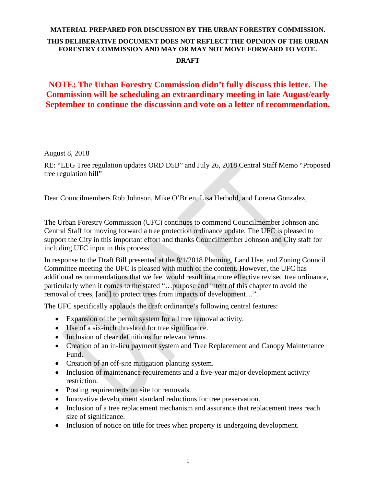# **NOTE: The Urban Forestry Commission didn't fully discuss this letter. The Commission will be scheduling an extraordinary meeting in late August/early September to continue the discussion and vote on a letter of recommendation.**

August 8, 2018

RE: "LEG Tree regulation updates ORD D5B" and July 26, 2018 Central Staff Memo "Proposed tree regulation bill"

Dear Councilmembers Rob Johnson, Mike O'Brien, Lisa Herbold, and Lorena Gonzalez,

The Urban Forestry Commission (UFC) continues to commend Councilmember Johnson and Central Staff for moving forward a tree protection ordinance update. The UFC is pleased to support the City in this important effort and thanks Councilmember Johnson and City staff for including UFC input in this process.

In response to the Draft Bill presented at the 8/1/2018 Planning, Land Use, and Zoning Council Committee meeting the UFC is pleased with much of the content. However, the UFC has additional recommendations that we feel would result in a more effective revised tree ordinance, particularly when it comes to the stated "…purpose and intent of this chapter to avoid the removal of trees, [and] to protect trees from impacts of development…".

The UFC specifically applauds the draft ordinance's following central features:

- Expansion of the permit system for all tree removal activity.
- Use of a six-inch threshold for tree significance.
- Inclusion of clear definitions for relevant terms.
- Creation of an in-lieu payment system and Tree Replacement and Canopy Maintenance Fund.
- Creation of an off-site mitigation planting system.
- Inclusion of maintenance requirements and a five-year major development activity restriction.
- Posting requirements on site for removals.
- Innovative development standard reductions for tree preservation.
- Inclusion of a tree replacement mechanism and assurance that replacement trees reach size of significance.
- Inclusion of notice on title for trees when property is undergoing development.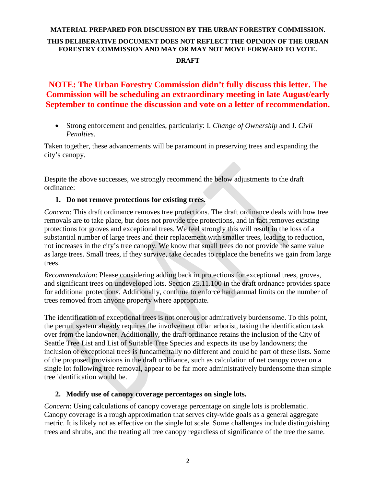# **NOTE: The Urban Forestry Commission didn't fully discuss this letter. The Commission will be scheduling an extraordinary meeting in late August/early September to continue the discussion and vote on a letter of recommendation.**

• Strong enforcement and penalties, particularly: I. *Change of Ownership* and J. *Civil Penalties*.

Taken together, these advancements will be paramount in preserving trees and expanding the city's canopy.

Despite the above successes, we strongly recommend the below adjustments to the draft ordinance:

#### **1. Do not remove protections for existing trees.**

*Concern*: This draft ordinance removes tree protections. The draft ordinance deals with how tree removals are to take place, but does not provide tree protections, and in fact removes existing protections for groves and exceptional trees. We feel strongly this will result in the loss of a substantial number of large trees and their replacement with smaller trees, leading to reduction, not increases in the city's tree canopy. We know that small trees do not provide the same value as large trees. Small trees, if they survive, take decades to replace the benefits we gain from large trees.

*Recommendation*: Please considering adding back in protections for exceptional trees, groves, and significant trees on undeveloped lots. Section 25.11.100 in the draft ordnance provides space for additional protections. Additionally, continue to enforce hard annual limits on the number of trees removed from anyone property where appropriate.

The identification of exceptional trees is not onerous or admiratively burdensome. To this point, the permit system already requires the involvement of an arborist, taking the identification task over from the landowner. Additionally, the draft ordinance retains the inclusion of the City of Seattle Tree List and List of Suitable Tree Species and expects its use by landowners; the inclusion of exceptional trees is fundamentally no different and could be part of these lists. Some of the proposed provisions in the draft ordinance, such as calculation of net canopy cover on a single lot following tree removal, appear to be far more administratively burdensome than simple tree identification would be.

#### **2. Modify use of canopy coverage percentages on single lots.**

*Concern*: Using calculations of canopy coverage percentage on single lots is problematic. Canopy coverage is a rough approximation that serves city-wide goals as a general aggregate metric. It is likely not as effective on the single lot scale. Some challenges include distinguishing trees and shrubs, and the treating all tree canopy regardless of significance of the tree the same.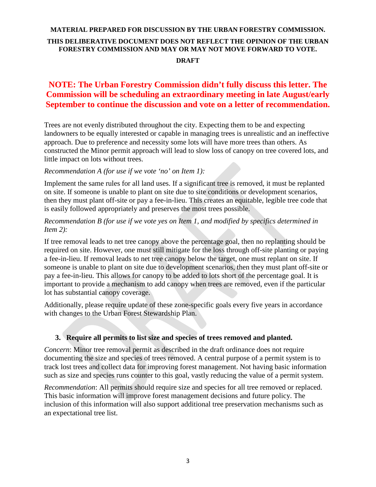# **NOTE: The Urban Forestry Commission didn't fully discuss this letter. The Commission will be scheduling an extraordinary meeting in late August/early September to continue the discussion and vote on a letter of recommendation.**

Trees are not evenly distributed throughout the city. Expecting them to be and expecting landowners to be equally interested or capable in managing trees is unrealistic and an ineffective approach. Due to preference and necessity some lots will have more trees than others. As constructed the Minor permit approach will lead to slow loss of canopy on tree covered lots, and little impact on lots without trees.

### *Recommendation A (for use if we vote 'no' on Item 1):*

Implement the same rules for all land uses. If a significant tree is removed, it must be replanted on site. If someone is unable to plant on site due to site conditions or development scenarios, then they must plant off-site or pay a fee-in-lieu. This creates an equitable, legible tree code that is easily followed appropriately and preserves the most trees possible.

### *Recommendation B (for use if we vote yes on Item 1, and modified by specifics determined in Item 2):*

If tree removal leads to net tree canopy above the percentage goal, then no replanting should be required on site. However, one must still mitigate for the loss through off-site planting or paying a fee-in-lieu. If removal leads to net tree canopy below the target, one must replant on site. If someone is unable to plant on site due to development scenarios, then they must plant off-site or pay a fee-in-lieu. This allows for canopy to be added to lots short of the percentage goal. It is important to provide a mechanism to add canopy when trees are removed, even if the particular lot has substantial canopy coverage.

Additionally, please require update of these zone-specific goals every five years in accordance with changes to the Urban Forest Stewardship Plan.

### **3. Require all permits to list size and species of trees removed and planted.**

*Concern*: Minor tree removal permit as described in the draft ordinance does not require documenting the size and species of trees removed. A central purpose of a permit system is to track lost trees and collect data for improving forest management. Not having basic information such as size and species runs counter to this goal, vastly reducing the value of a permit system.

*Recommendation*: All permits should require size and species for all tree removed or replaced. This basic information will improve forest management decisions and future policy. The inclusion of this information will also support additional tree preservation mechanisms such as an expectational tree list.